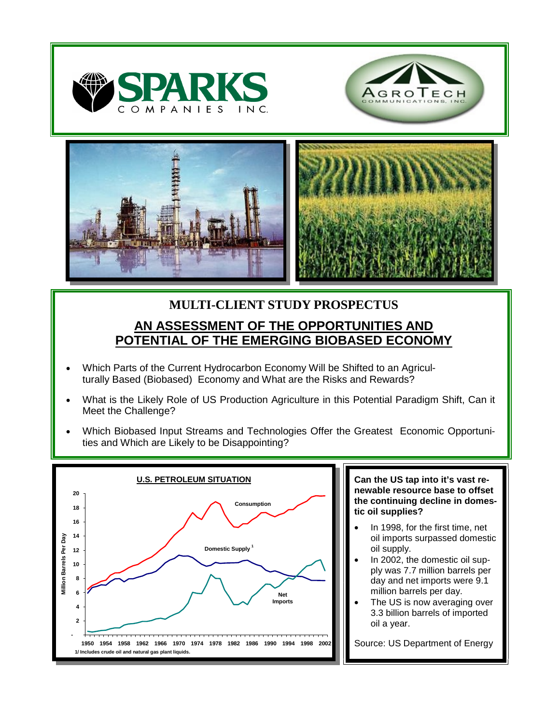





# **MULTI-CLIENT STUDY PROSPECTUS AN ASSESSMENT OF THE OPPORTUNITIES AND POTENTIAL OF THE EMERGING BIOBASED ECONOMY**

- Which Parts of the Current Hydrocarbon Economy Will be Shifted to an Agriculturally Based (Biobased) Economy and What are the Risks and Rewards?
- What is the Likely Role of US Production Agriculture in this Potential Paradigm Shift, Can it Meet the Challenge?
- Which Biobased Input Streams and Technologies Offer the Greatest Economic Opportunities and Which are Likely to be Disappointing?



**Can the US tap into it's vast renewable resource base to offset the continuing decline in domestic oil supplies?**

- In 1998, for the first time, net oil imports surpassed domestic oil supply.
- In 2002, the domestic oil supply was 7.7 million barrels per day and net imports were 9.1 million barrels per day.
- The US is now averaging over 3.3 billion barrels of imported oil a year.

Source: US Department of Energy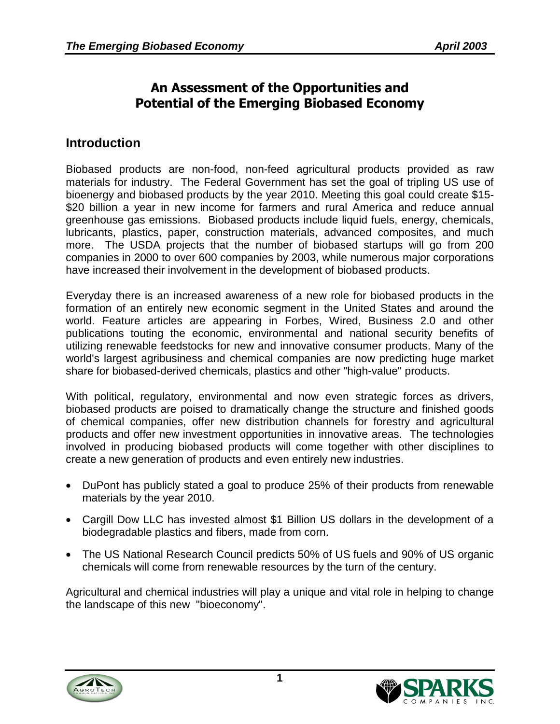## **An Assessment of the Opportunities and Potential of the Emerging Biobased Economy**

## **Introduction**

Biobased products are non-food, non-feed agricultural products provided as raw materials for industry. The Federal Government has set the goal of tripling US use of bioenergy and biobased products by the year 2010. Meeting this goal could create \$15- \$20 billion a year in new income for farmers and rural America and reduce annual greenhouse gas emissions. Biobased products include liquid fuels, energy, chemicals, lubricants, plastics, paper, construction materials, advanced composites, and much more. The USDA projects that the number of biobased startups will go from 200 companies in 2000 to over 600 companies by 2003, while numerous major corporations have increased their involvement in the development of biobased products.

Everyday there is an increased awareness of a new role for biobased products in the formation of an entirely new economic segment in the United States and around the world. Feature articles are appearing in Forbes, Wired, Business 2.0 and other publications touting the economic, environmental and national security benefits of utilizing renewable feedstocks for new and innovative consumer products. Many of the world's largest agribusiness and chemical companies are now predicting huge market share for biobased-derived chemicals, plastics and other "high-value" products.

With political, regulatory, environmental and now even strategic forces as drivers, biobased products are poised to dramatically change the structure and finished goods of chemical companies, offer new distribution channels for forestry and agricultural products and offer new investment opportunities in innovative areas. The technologies involved in producing biobased products will come together with other disciplines to create a new generation of products and even entirely new industries.

- DuPont has publicly stated a goal to produce 25% of their products from renewable materials by the year 2010.
- Cargill Dow LLC has invested almost \$1 Billion US dollars in the development of a biodegradable plastics and fibers, made from corn.
- The US National Research Council predicts 50% of US fuels and 90% of US organic chemicals will come from renewable resources by the turn of the century.

Agricultural and chemical industries will play a unique and vital role in helping to change the landscape of this new "bioeconomy".



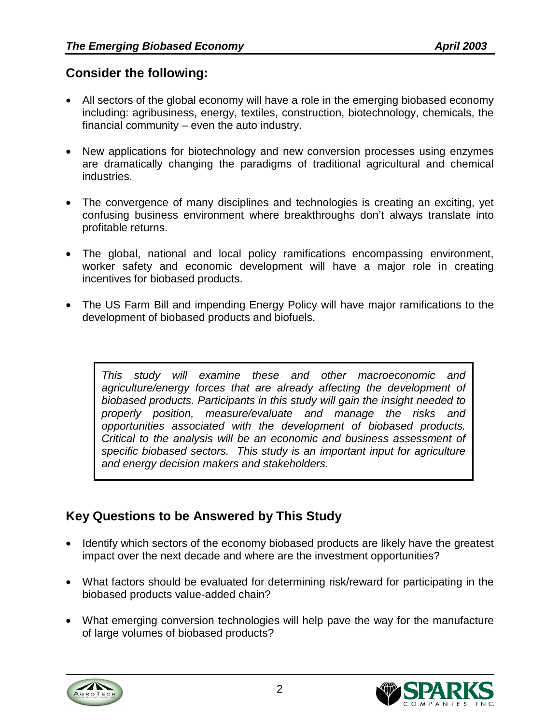### **Consider the following:**

- All sectors of the global economy will have a role in the emerging biobased economy including: agribusiness, energy, textiles, construction, biotechnology, chemicals, the financial community – even the auto industry.
- New applications for biotechnology and new conversion processes using enzymes are dramatically changing the paradigms of traditional agricultural and chemical industries.
- The convergence of many disciplines and technologies is creating an exciting, yet confusing business environment where breakthroughs don't always translate into profitable returns.
- The global, national and local policy ramifications encompassing environment, worker safety and economic development will have a major role in creating incentives for biobased products.
- The US Farm Bill and impending Energy Policy will have major ramifications to the development of biobased products and biofuels.

*This study will examine these and other macroeconomic and agriculture/energy forces that are already affecting the development of biobased products. Participants in this study will gain the insight needed to properly position, measure/evaluate and manage the risks and opportunities associated with the development of biobased products. Critical to the analysis will be an economic and business assessment of specific biobased sectors. This study is an important input for agriculture and energy decision makers and stakeholders.*

# **Key Questions to be Answered by This Study**

- Identify which sectors of the economy biobased products are likely have the greatest impact over the next decade and where are the investment opportunities?
- What factors should be evaluated for determining risk/reward for participating in the biobased products value-added chain?
- What emerging conversion technologies will help pave the way for the manufacture of large volumes of biobased products?



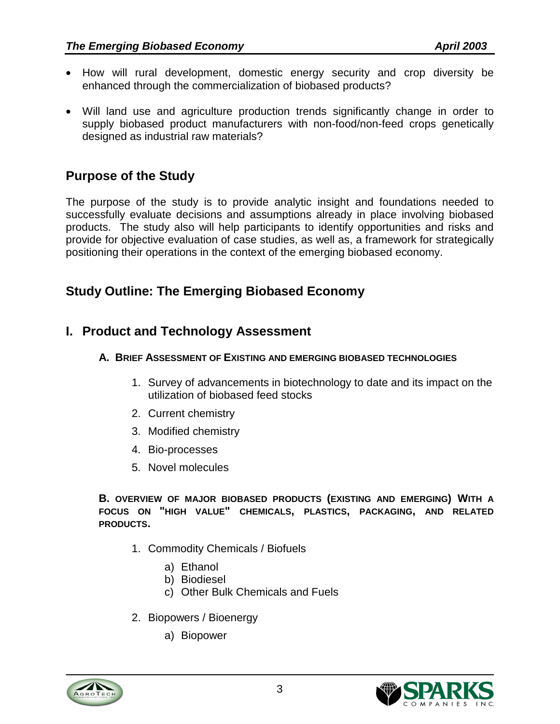- How will rural development, domestic energy security and crop diversity be enhanced through the commercialization of biobased products?
- Will land use and agriculture production trends significantly change in order to supply biobased product manufacturers with non-food/non-feed crops genetically designed as industrial raw materials?

## **Purpose of the Study**

The purpose of the study is to provide analytic insight and foundations needed to successfully evaluate decisions and assumptions already in place involving biobased products. The study also will help participants to identify opportunities and risks and provide for objective evaluation of case studies, as well as, a framework for strategically positioning their operations in the context of the emerging biobased economy.

## **Study Outline: The Emerging Biobased Economy**

## **I. Product and Technology Assessment**

### **A. BRIEF ASSESSMENT OF EXISTING AND EMERGING BIOBASED TECHNOLOGIES**

- 1. Survey of advancements in biotechnology to date and its impact on the utilization of biobased feed stocks
- 2. Current chemistry
- 3. Modified chemistry
- 4. Bio-processes
- 5. Novel molecules

**B. OVERVIEW OF MAJOR BIOBASED PRODUCTS (EXISTING AND EMERGING) WITH A FOCUS ON "HIGH VALUE" CHEMICALS, PLASTICS, PACKAGING, AND RELATED PRODUCTS.**

- 1. Commodity Chemicals / Biofuels
	- a) Ethanol
	- b) Biodiesel
	- c) Other Bulk Chemicals and Fuels
- 2. Biopowers / Bioenergy
	- a) Biopower



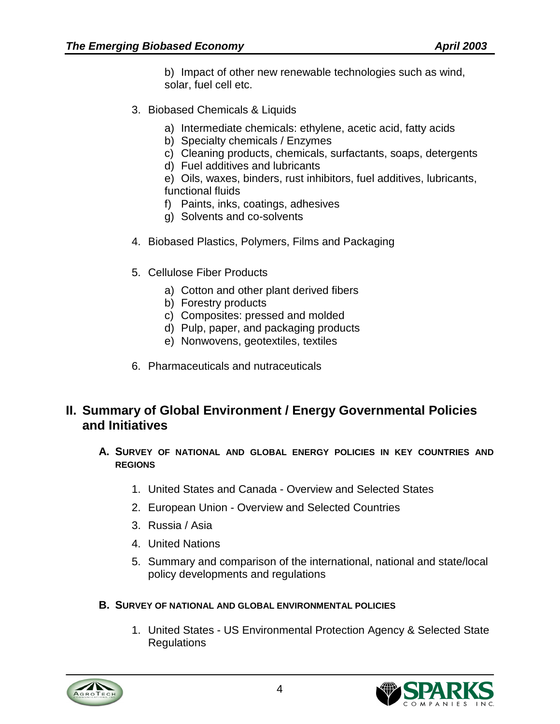b) Impact of other new renewable technologies such as wind, solar, fuel cell etc.

- 3. Biobased Chemicals & Liquids
	- a) Intermediate chemicals: ethylene, acetic acid, fatty acids
	- b) Specialty chemicals / Enzymes
	- c) Cleaning products, chemicals, surfactants, soaps, detergents
	- d) Fuel additives and lubricants
	- e) Oils, waxes, binders, rust inhibitors, fuel additives, lubricants, functional fluids
	- f) Paints, inks, coatings, adhesives
	- g) Solvents and co-solvents
- 4. Biobased Plastics, Polymers, Films and Packaging
- 5. Cellulose Fiber Products
	- a) Cotton and other plant derived fibers
	- b) Forestry products
	- c) Composites: pressed and molded
	- d) Pulp, paper, and packaging products
	- e) Nonwovens, geotextiles, textiles
- 6. Pharmaceuticals and nutraceuticals

### **II. Summary of Global Environment / Energy Governmental Policies and Initiatives**

- **A. SURVEY OF NATIONAL AND GLOBAL ENERGY POLICIES IN KEY COUNTRIES AND REGIONS**
	- 1. United States and Canada Overview and Selected States
	- 2. European Union Overview and Selected Countries
	- 3. Russia / Asia
	- 4. United Nations
	- 5. Summary and comparison of the international, national and state/local policy developments and regulations

#### **B. SURVEY OF NATIONAL AND GLOBAL ENVIRONMENTAL POLICIES**

1. United States - US Environmental Protection Agency & Selected State **Regulations** 



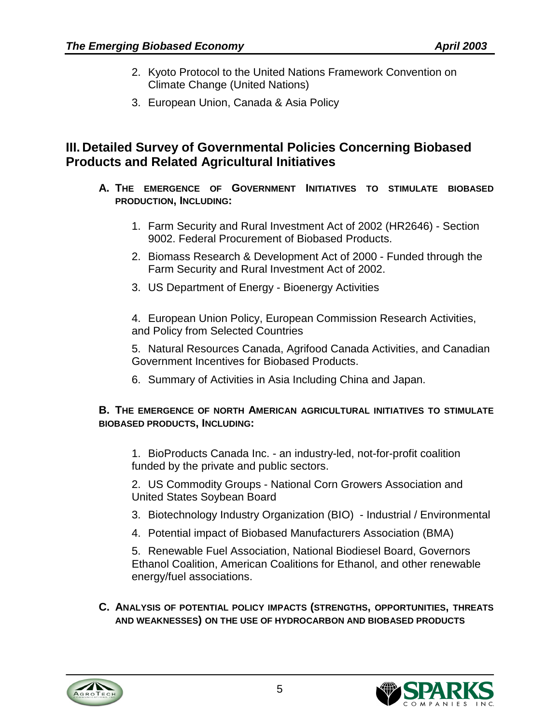- 2. Kyoto Protocol to the United Nations Framework Convention on Climate Change (United Nations)
- 3. European Union, Canada & Asia Policy

## **III. Detailed Survey of Governmental Policies Concerning Biobased Products and Related Agricultural Initiatives**

- **A. THE EMERGENCE OF GOVERNMENT INITIATIVES TO STIMULATE BIOBASED PRODUCTION, INCLUDING:**
	- 1. Farm Security and Rural Investment Act of 2002 (HR2646) Section 9002. Federal Procurement of Biobased Products.
	- 2. Biomass Research & Development Act of 2000 Funded through the Farm Security and Rural Investment Act of 2002.
	- 3. US Department of Energy Bioenergy Activities

4. European Union Policy, European Commission Research Activities, and Policy from Selected Countries

5. Natural Resources Canada, Agrifood Canada Activities, and Canadian Government Incentives for Biobased Products.

6. Summary of Activities in Asia Including China and Japan.

### **B. THE EMERGENCE OF NORTH AMERICAN AGRICULTURAL INITIATIVES TO STIMULATE BIOBASED PRODUCTS, INCLUDING:**

1. BioProducts Canada Inc. - an industry-led, not-for-profit coalition funded by the private and public sectors.

2. US Commodity Groups - National Corn Growers Association and United States Soybean Board

- 3. Biotechnology Industry Organization (BIO) Industrial / Environmental
- 4. Potential impact of Biobased Manufacturers Association (BMA)

5. Renewable Fuel Association, National Biodiesel Board, Governors Ethanol Coalition, American Coalitions for Ethanol, and other renewable energy/fuel associations.

**C. ANALYSIS OF POTENTIAL POLICY IMPACTS (STRENGTHS, OPPORTUNITIES, THREATS AND WEAKNESSES) ON THE USE OF HYDROCARBON AND BIOBASED PRODUCTS**



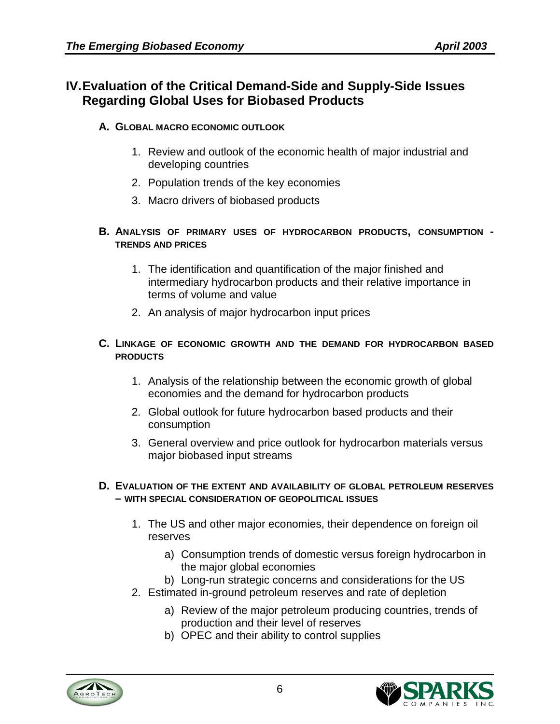## **IV.Evaluation of the Critical Demand-Side and Supply-Side Issues Regarding Global Uses for Biobased Products**

- **A. GLOBAL MACRO ECONOMIC OUTLOOK**
	- 1. Review and outlook of the economic health of major industrial and developing countries
	- 2. Population trends of the key economies
	- 3. Macro drivers of biobased products

#### **B. ANALYSIS OF PRIMARY USES OF HYDROCARBON PRODUCTS, CONSUMPTION - TRENDS AND PRICES**

- 1. The identification and quantification of the major finished and intermediary hydrocarbon products and their relative importance in terms of volume and value
- 2. An analysis of major hydrocarbon input prices

### **C. LINKAGE OF ECONOMIC GROWTH AND THE DEMAND FOR HYDROCARBON BASED PRODUCTS**

- 1. Analysis of the relationship between the economic growth of global economies and the demand for hydrocarbon products
- 2. Global outlook for future hydrocarbon based products and their consumption
- 3. General overview and price outlook for hydrocarbon materials versus major biobased input streams

#### **D. EVALUATION OF THE EXTENT AND AVAILABILITY OF GLOBAL PETROLEUM RESERVES – WITH SPECIAL CONSIDERATION OF GEOPOLITICAL ISSUES**

- 1. The US and other major economies, their dependence on foreign oil reserves
	- a) Consumption trends of domestic versus foreign hydrocarbon in the major global economies
	- b) Long-run strategic concerns and considerations for the US
- 2. Estimated in-ground petroleum reserves and rate of depletion
	- a) Review of the major petroleum producing countries, trends of production and their level of reserves
	- b) OPEC and their ability to control supplies



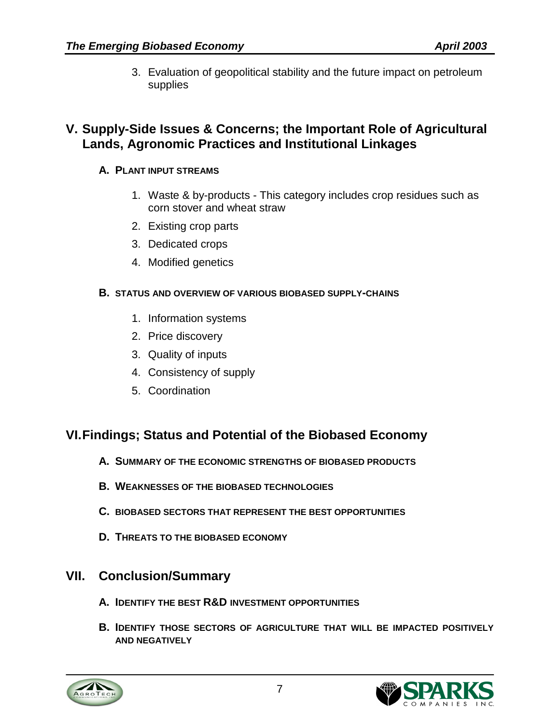3. Evaluation of geopolitical stability and the future impact on petroleum supplies

### **V. Supply-Side Issues & Concerns; the Important Role of Agricultural Lands, Agronomic Practices and Institutional Linkages**

### **A. PLANT INPUT STREAMS**

- 1. Waste & by-products This category includes crop residues such as corn stover and wheat straw
- 2. Existing crop parts
- 3. Dedicated crops
- 4. Modified genetics

#### **B. STATUS AND OVERVIEW OF VARIOUS BIOBASED SUPPLY-CHAINS**

- 1. Information systems
- 2. Price discovery
- 3. Quality of inputs
- 4. Consistency of supply
- 5. Coordination

### **VI.Findings; Status and Potential of the Biobased Economy**

- **A. SUMMARY OF THE ECONOMIC STRENGTHS OF BIOBASED PRODUCTS**
- **B. WEAKNESSES OF THE BIOBASED TECHNOLOGIES**
- **C. BIOBASED SECTORS THAT REPRESENT THE BEST OPPORTUNITIES**
- **D. THREATS TO THE BIOBASED ECONOMY**

### **VII. Conclusion/Summary**

- **A. IDENTIFY THE BEST R&D INVESTMENT OPPORTUNITIES**
- **B. IDENTIFY THOSE SECTORS OF AGRICULTURE THAT WILL BE IMPACTED POSITIVELY AND NEGATIVELY**



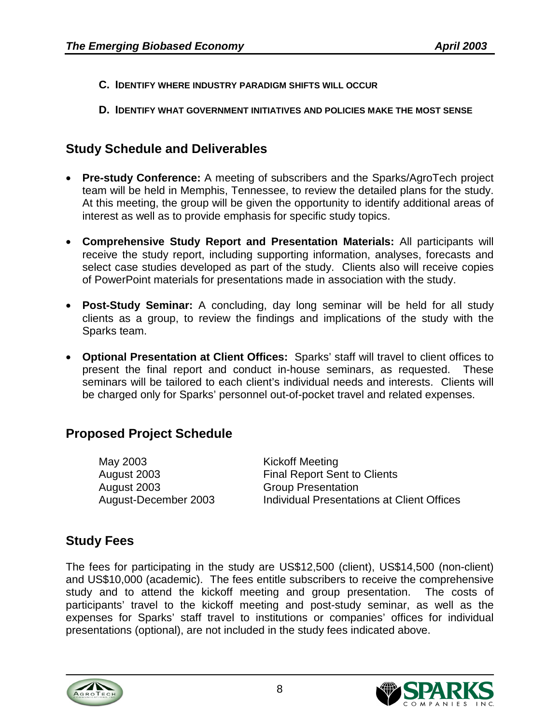- **C. IDENTIFY WHERE INDUSTRY PARADIGM SHIFTS WILL OCCUR**
- **D. IDENTIFY WHAT GOVERNMENT INITIATIVES AND POLICIES MAKE THE MOST SENSE**

## **Study Schedule and Deliverables**

- **Pre-study Conference:** A meeting of subscribers and the Sparks/AgroTech project team will be held in Memphis, Tennessee, to review the detailed plans for the study. At this meeting, the group will be given the opportunity to identify additional areas of interest as well as to provide emphasis for specific study topics.
- **Comprehensive Study Report and Presentation Materials:** All participants will receive the study report, including supporting information, analyses, forecasts and select case studies developed as part of the study. Clients also will receive copies of PowerPoint materials for presentations made in association with the study.
- **Post-Study Seminar:** A concluding, day long seminar will be held for all study clients as a group, to review the findings and implications of the study with the Sparks team.
- **Optional Presentation at Client Offices:** Sparks' staff will travel to client offices to present the final report and conduct in-house seminars, as requested. These seminars will be tailored to each client's individual needs and interests. Clients will be charged only for Sparks' personnel out-of-pocket travel and related expenses.

### **Proposed Project Schedule**

| May 2003             | <b>Kickoff Meeting</b>                     |
|----------------------|--------------------------------------------|
| August 2003          | <b>Final Report Sent to Clients</b>        |
| August 2003          | <b>Group Presentation</b>                  |
| August-December 2003 | Individual Presentations at Client Offices |

### **Study Fees**

The fees for participating in the study are US\$12,500 (client), US\$14,500 (non-client) and US\$10,000 (academic). The fees entitle subscribers to receive the comprehensive study and to attend the kickoff meeting and group presentation. The costs of participants' travel to the kickoff meeting and post-study seminar, as well as the expenses for Sparks' staff travel to institutions or companies' offices for individual presentations (optional), are not included in the study fees indicated above.



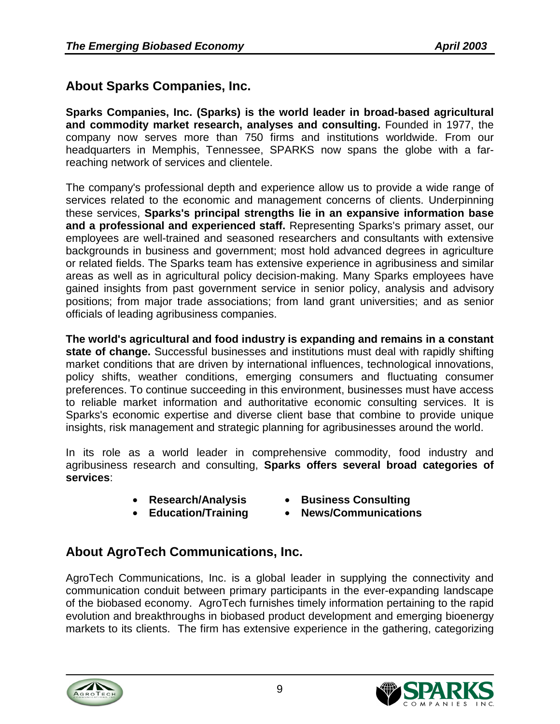## **About Sparks Companies, Inc.**

**Sparks Companies, Inc. (Sparks) is the world leader in broad-based agricultural and commodity market research, analyses and consulting.** Founded in 1977, the company now serves more than 750 firms and institutions worldwide. From our headquarters in Memphis, Tennessee, SPARKS now spans the globe with a farreaching network of services and clientele.

The company's professional depth and experience allow us to provide a wide range of services related to the economic and management concerns of clients. Underpinning these services, **Sparks's principal strengths lie in an expansive information base and a professional and experienced staff.** Representing Sparks's primary asset, our employees are well-trained and seasoned researchers and consultants with extensive backgrounds in business and government; most hold advanced degrees in agriculture or related fields. The Sparks team has extensive experience in agribusiness and similar areas as well as in agricultural policy decision-making. Many Sparks employees have gained insights from past government service in senior policy, analysis and advisory positions; from major trade associations; from land grant universities; and as senior officials of leading agribusiness companies.

**The world's agricultural and food industry is expanding and remains in a constant state of change.** Successful businesses and institutions must deal with rapidly shifting market conditions that are driven by international influences, technological innovations, policy shifts, weather conditions, emerging consumers and fluctuating consumer preferences. To continue succeeding in this environment, businesses must have access to reliable market information and authoritative economic consulting services. It is Sparks's economic expertise and diverse client base that combine to provide unique insights, risk management and strategic planning for agribusinesses around the world.

In its role as a world leader in comprehensive commodity, food industry and agribusiness research and consulting, **Sparks offers several broad categories of services**:

- 
- **Research/Analysis Business Consulting**
- 
- **Education/Training News/Communications**

## **About AgroTech Communications, Inc.**

AgroTech Communications, Inc. is a global leader in supplying the connectivity and communication conduit between primary participants in the ever-expanding landscape of the biobased economy. AgroTech furnishes timely information pertaining to the rapid evolution and breakthroughs in biobased product development and emerging bioenergy markets to its clients. The firm has extensive experience in the gathering, categorizing



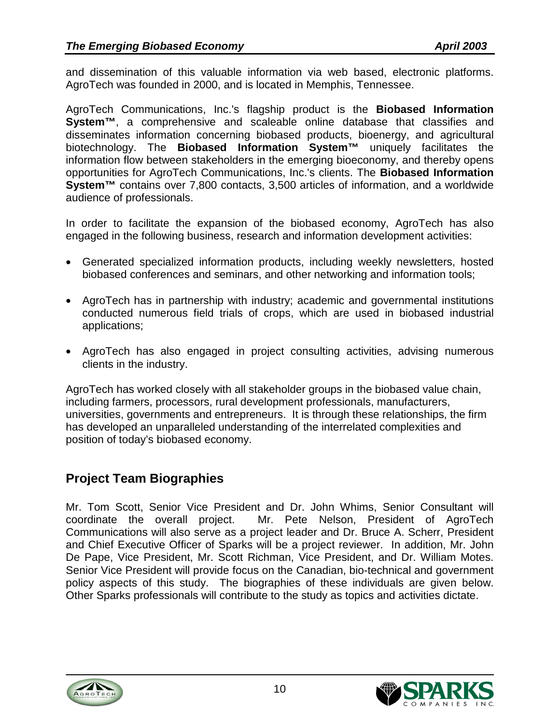and dissemination of this valuable information via web based, electronic platforms. AgroTech was founded in 2000, and is located in Memphis, Tennessee.

AgroTech Communications, Inc.'s flagship product is the **Biobased Information System™**, a comprehensive and scaleable online database that classifies and disseminates information concerning biobased products, bioenergy, and agricultural biotechnology. The **Biobased Information System™** uniquely facilitates the information flow between stakeholders in the emerging bioeconomy, and thereby opens opportunities for AgroTech Communications, Inc.'s clients. The **Biobased Information System™** contains over 7,800 contacts, 3,500 articles of information, and a worldwide audience of professionals.

In order to facilitate the expansion of the biobased economy, AgroTech has also engaged in the following business, research and information development activities:

- Generated specialized information products, including weekly newsletters, hosted biobased conferences and seminars, and other networking and information tools;
- AgroTech has in partnership with industry; academic and governmental institutions conducted numerous field trials of crops, which are used in biobased industrial applications;
- AgroTech has also engaged in project consulting activities, advising numerous clients in the industry.

AgroTech has worked closely with all stakeholder groups in the biobased value chain, including farmers, processors, rural development professionals, manufacturers, universities, governments and entrepreneurs. It is through these relationships, the firm has developed an unparalleled understanding of the interrelated complexities and position of today's biobased economy.

## **Project Team Biographies**

Mr. Tom Scott, Senior Vice President and Dr. John Whims, Senior Consultant will coordinate the overall project. Mr. Pete Nelson, President of AgroTech Communications will also serve as a project leader and Dr. Bruce A. Scherr, President and Chief Executive Officer of Sparks will be a project reviewer. In addition, Mr. John De Pape, Vice President, Mr. Scott Richman, Vice President, and Dr. William Motes. Senior Vice President will provide focus on the Canadian, bio-technical and government policy aspects of this study. The biographies of these individuals are given below. Other Sparks professionals will contribute to the study as topics and activities dictate.



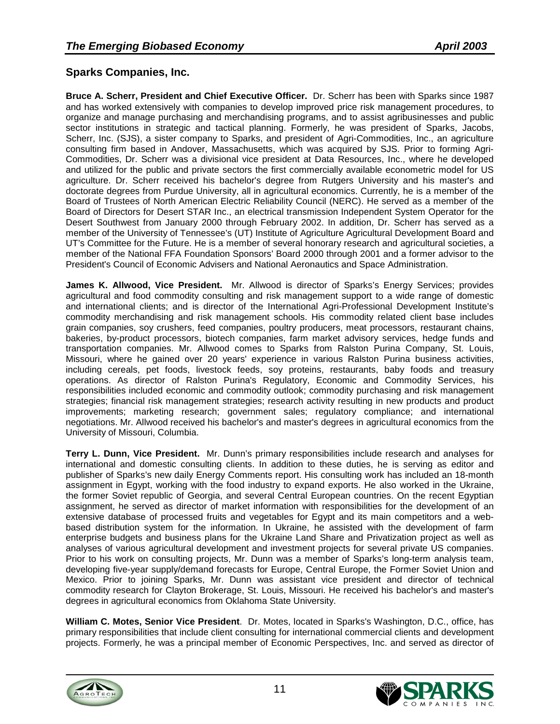#### **Sparks Companies, Inc.**

**Bruce A. Scherr, President and Chief Executive Officer.** Dr. Scherr has been with Sparks since 1987 and has worked extensively with companies to develop improved price risk management procedures, to organize and manage purchasing and merchandising programs, and to assist agribusinesses and public sector institutions in strategic and tactical planning. Formerly, he was president of Sparks, Jacobs, Scherr, Inc. (SJS), a sister company to Sparks, and president of Agri-Commodities, Inc., an agriculture consulting firm based in Andover, Massachusetts, which was acquired by SJS. Prior to forming Agri-Commodities, Dr. Scherr was a divisional vice president at Data Resources, Inc., where he developed and utilized for the public and private sectors the first commercially available econometric model for US agriculture. Dr. Scherr received his bachelor's degree from Rutgers University and his master's and doctorate degrees from Purdue University, all in agricultural economics. Currently, he is a member of the Board of Trustees of North American Electric Reliability Council (NERC). He served as a member of the Board of Directors for Desert STAR Inc., an electrical transmission Independent System Operator for the Desert Southwest from January 2000 through February 2002. In addition, Dr. Scherr has served as a member of the University of Tennessee's (UT) Institute of Agriculture Agricultural Development Board and UT's Committee for the Future. He is a member of several honorary research and agricultural societies, a member of the National FFA Foundation Sponsors' Board 2000 through 2001 and a former advisor to the President's Council of Economic Advisers and National Aeronautics and Space Administration.

**James K. Allwood, Vice President.** Mr. Allwood is director of Sparks's Energy Services; provides agricultural and food commodity consulting and risk management support to a wide range of domestic and international clients; and is director of the International Agri-Professional Development Institute's commodity merchandising and risk management schools. His commodity related client base includes grain companies, soy crushers, feed companies, poultry producers, meat processors, restaurant chains, bakeries, by-product processors, biotech companies, farm market advisory services, hedge funds and transportation companies. Mr. Allwood comes to Sparks from Ralston Purina Company, St. Louis, Missouri, where he gained over 20 years' experience in various Ralston Purina business activities, including cereals, pet foods, livestock feeds, soy proteins, restaurants, baby foods and treasury operations. As director of Ralston Purina's Regulatory, Economic and Commodity Services, his responsibilities included economic and commodity outlook; commodity purchasing and risk management strategies; financial risk management strategies; research activity resulting in new products and product improvements; marketing research; government sales; regulatory compliance; and international negotiations. Mr. Allwood received his bachelor's and master's degrees in agricultural economics from the University of Missouri, Columbia.

**Terry L. Dunn, Vice President.** Mr. Dunn's primary responsibilities include research and analyses for international and domestic consulting clients. In addition to these duties, he is serving as editor and publisher of Sparks's new daily Energy Comments report. His consulting work has included an 18-month assignment in Egypt, working with the food industry to expand exports. He also worked in the Ukraine, the former Soviet republic of Georgia, and several Central European countries. On the recent Egyptian assignment, he served as director of market information with responsibilities for the development of an extensive database of processed fruits and vegetables for Egypt and its main competitors and a webbased distribution system for the information. In Ukraine, he assisted with the development of farm enterprise budgets and business plans for the Ukraine Land Share and Privatization project as well as analyses of various agricultural development and investment projects for several private US companies. Prior to his work on consulting projects, Mr. Dunn was a member of Sparks's long-term analysis team, developing five-year supply/demand forecasts for Europe, Central Europe, the Former Soviet Union and Mexico. Prior to joining Sparks, Mr. Dunn was assistant vice president and director of technical commodity research for Clayton Brokerage, St. Louis, Missouri. He received his bachelor's and master's degrees in agricultural economics from Oklahoma State University.

**William C. Motes, Senior Vice President**. Dr. Motes, located in Sparks's Washington, D.C., office, has primary responsibilities that include client consulting for international commercial clients and development projects. Formerly, he was a principal member of Economic Perspectives, Inc. and served as director of



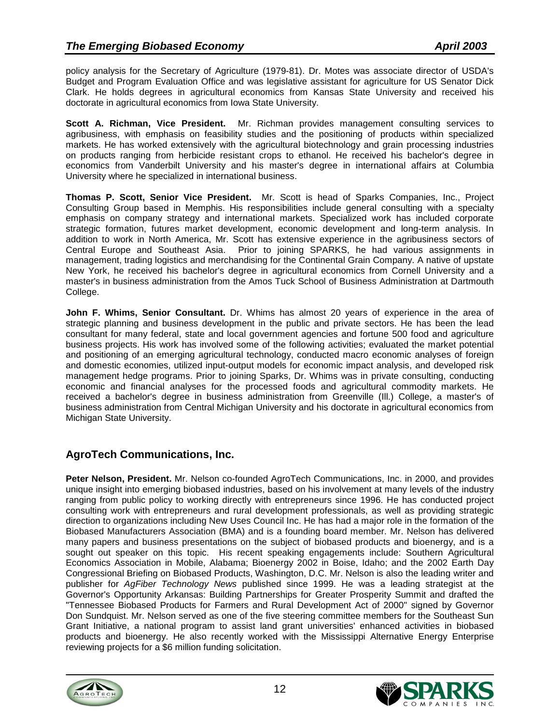policy analysis for the Secretary of Agriculture (1979-81). Dr. Motes was associate director of USDA's Budget and Program Evaluation Office and was legislative assistant for agriculture for US Senator Dick Clark. He holds degrees in agricultural economics from Kansas State University and received his doctorate in agricultural economics from Iowa State University.

**Scott A. Richman, Vice President.** Mr. Richman provides management consulting services to agribusiness, with emphasis on feasibility studies and the positioning of products within specialized markets. He has worked extensively with the agricultural biotechnology and grain processing industries on products ranging from herbicide resistant crops to ethanol. He received his bachelor's degree in economics from Vanderbilt University and his master's degree in international affairs at Columbia University where he specialized in international business.

**Thomas P. Scott, Senior Vice President.** Mr. Scott is head of Sparks Companies, Inc., Project Consulting Group based in Memphis. His responsibilities include general consulting with a specialty emphasis on company strategy and international markets. Specialized work has included corporate strategic formation, futures market development, economic development and long-term analysis. In addition to work in North America, Mr. Scott has extensive experience in the agribusiness sectors of Central Europe and Southeast Asia. Prior to joining SPARKS, he had various assignments in management, trading logistics and merchandising for the Continental Grain Company. A native of upstate New York, he received his bachelor's degree in agricultural economics from Cornell University and a master's in business administration from the Amos Tuck School of Business Administration at Dartmouth College.

**John F. Whims, Senior Consultant.** Dr. Whims has almost 20 years of experience in the area of strategic planning and business development in the public and private sectors. He has been the lead consultant for many federal, state and local government agencies and fortune 500 food and agriculture business projects. His work has involved some of the following activities; evaluated the market potential and positioning of an emerging agricultural technology, conducted macro economic analyses of foreign and domestic economies, utilized input-output models for economic impact analysis, and developed risk management hedge programs. Prior to joining Sparks, Dr. Whims was in private consulting, conducting economic and financial analyses for the processed foods and agricultural commodity markets. He received a bachelor's degree in business administration from Greenville (Ill.) College, a master's of business administration from Central Michigan University and his doctorate in agricultural economics from Michigan State University.

### **AgroTech Communications, Inc.**

**Peter Nelson, President.** Mr. Nelson co-founded AgroTech Communications, Inc. in 2000, and provides unique insight into emerging biobased industries, based on his involvement at many levels of the industry ranging from public policy to working directly with entrepreneurs since 1996. He has conducted project consulting work with entrepreneurs and rural development professionals, as well as providing strategic direction to organizations including New Uses Council Inc. He has had a major role in the formation of the Biobased Manufacturers Association (BMA) and is a founding board member. Mr. Nelson has delivered many papers and business presentations on the subject of biobased products and bioenergy, and is a sought out speaker on this topic. His recent speaking engagements include: Southern Agricultural Economics Association in Mobile, Alabama; Bioenergy 2002 in Boise, Idaho; and the 2002 Earth Day Congressional Briefing on Biobased Products, Washington, D.C. Mr. Nelson is also the leading writer and publisher for *AgFiber Technology News* published since 1999. He was a leading strategist at the Governor's Opportunity Arkansas: Building Partnerships for Greater Prosperity Summit and drafted the "Tennessee Biobased Products for Farmers and Rural Development Act of 2000" signed by Governor Don Sundquist. Mr. Nelson served as one of the five steering committee members for the Southeast Sun Grant Initiative, a national program to assist land grant universities' enhanced activities in biobased products and bioenergy. He also recently worked with the Mississippi Alternative Energy Enterprise reviewing projects for a \$6 million funding solicitation.



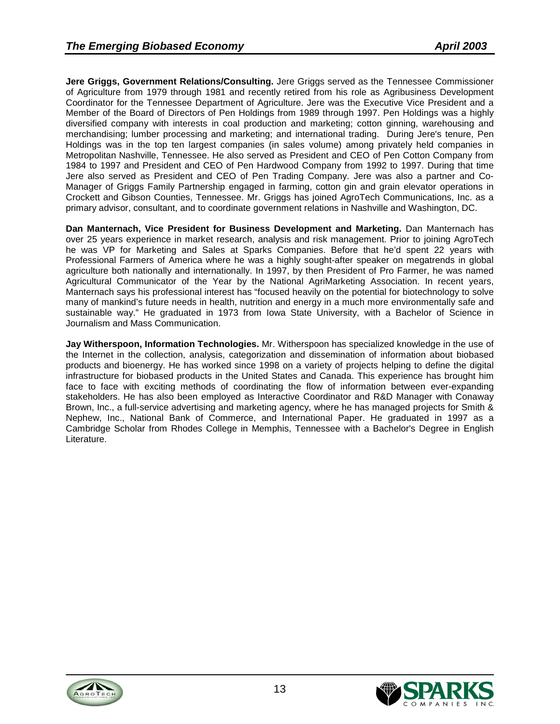**Jere Griggs, Government Relations/Consulting.** Jere Griggs served as the Tennessee Commissioner of Agriculture from 1979 through 1981 and recently retired from his role as Agribusiness Development Coordinator for the Tennessee Department of Agriculture. Jere was the Executive Vice President and a Member of the Board of Directors of Pen Holdings from 1989 through 1997. Pen Holdings was a highly diversified company with interests in coal production and marketing; cotton ginning, warehousing and merchandising; lumber processing and marketing; and international trading. During Jere's tenure, Pen Holdings was in the top ten largest companies (in sales volume) among privately held companies in Metropolitan Nashville, Tennessee. He also served as President and CEO of Pen Cotton Company from 1984 to 1997 and President and CEO of Pen Hardwood Company from 1992 to 1997. During that time Jere also served as President and CEO of Pen Trading Company. Jere was also a partner and Co-Manager of Griggs Family Partnership engaged in farming, cotton gin and grain elevator operations in Crockett and Gibson Counties, Tennessee. Mr. Griggs has joined AgroTech Communications, Inc. as a primary advisor, consultant, and to coordinate government relations in Nashville and Washington, DC.

**Dan Manternach, Vice President for Business Development and Marketing.** Dan Manternach has over 25 years experience in market research, analysis and risk management. Prior to joining AgroTech he was VP for Marketing and Sales at Sparks Companies. Before that he'd spent 22 years with Professional Farmers of America where he was a highly sought-after speaker on megatrends in global agriculture both nationally and internationally. In 1997, by then President of Pro Farmer, he was named Agricultural Communicator of the Year by the National AgriMarketing Association. In recent years, Manternach says his professional interest has "focused heavily on the potential for biotechnology to solve many of mankind's future needs in health, nutrition and energy in a much more environmentally safe and sustainable way." He graduated in 1973 from Iowa State University, with a Bachelor of Science in Journalism and Mass Communication.

**Jay Witherspoon, Information Technologies.** Mr. Witherspoon has specialized knowledge in the use of the Internet in the collection, analysis, categorization and dissemination of information about biobased products and bioenergy. He has worked since 1998 on a variety of projects helping to define the digital infrastructure for biobased products in the United States and Canada. This experience has brought him face to face with exciting methods of coordinating the flow of information between ever-expanding stakeholders. He has also been employed as Interactive Coordinator and R&D Manager with Conaway Brown, Inc., a full-service advertising and marketing agency, where he has managed projects for Smith & Nephew, Inc., National Bank of Commerce, and International Paper. He graduated in 1997 as a Cambridge Scholar from Rhodes College in Memphis, Tennessee with a Bachelor's Degree in English Literature.